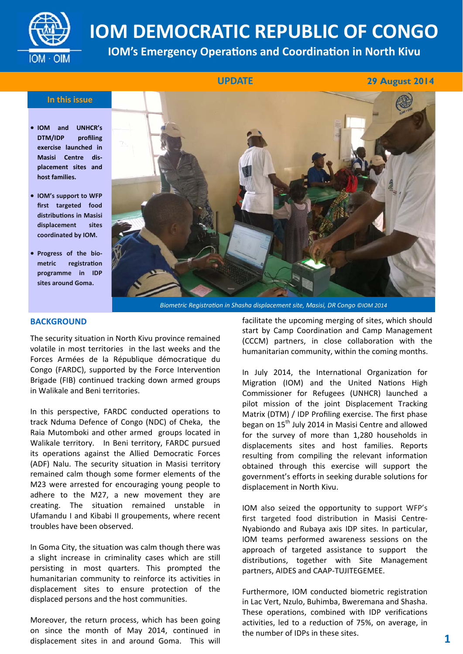

# **IOM DEMOCRATIC REPUBLIC OF CONGO**

**IOM's Emergency Operations and Coordination in North Kivu** 

**UPDATE** 

 **UPDATE 29 August 2014**

#### **In this issue**

- **IOM and UNHCR's DTM/IDP profiling exercise launched in Masisi Centre displacement sites and host families.**
- **IOM's support to WFP first targeted food distribuƟons in Masisi displacement sites coordinated by IOM.**
- **Progress of the biometric registraƟon programme in IDP sites around Goma.**



*Biometric RegistraƟon in Shasha displacement site, Masisi, DR Congo ©IOM 2014*

### **BACKGROUND**

The security situation in North Kivu province remained volatile in most territories in the last weeks and the Forces Armées de la République démocratique du Congo (FARDC), supported by the Force Intervention Brigade (FIB) continued tracking down armed groups in Walikale and Beni territories.

In this perspective, FARDC conducted operations to track Nduma Defence of Congo (NDC) of Cheka, the Raia Mutomboki and other armed groups located in Walikale territory. In Beni territory, FARDC pursued its operations against the Allied Democratic Forces (ADF) Nalu. The security situation in Masisi territory remained calm though some former elements of the M23 were arrested for encouraging young people to adhere to the M27, a new movement they are creating. The situation remained unstable in Ufamandu I and Kibabi II groupements, where recent troubles have been observed.

In Goma City, the situation was calm though there was a slight increase in criminality cases which are still persisting in most quarters. This prompted the humanitarian community to reinforce its activities in displacement sites to ensure protection of the displaced persons and the host communities.

Moreover, the return process, which has been going on since the month of May 2014, continued in displacement sites in and around Goma. This will

facilitate the upcoming merging of sites, which should start by Camp Coordination and Camp Management (CCCM) partners, in close collaboration with the humanitarian community, within the coming months.

In July 2014, the International Organization for Migration (IOM) and the United Nations High Commissioner for Refugees (UNHCR) launched a pilot mission of the joint Displacement Tracking Matrix (DTM) / IDP Profiling exercise. The first phase began on 15<sup>th</sup> July 2014 in Masisi Centre and allowed for the survey of more than 1,280 households in displacements sites and host families. Reports resulting from compiling the relevant information obtained through this exercise will support the government's efforts in seeking durable solutions for displacement in North Kivu.

IOM also seized the opportunity to support WFP's first targeted food distribution in Masisi Centre-Nyabiondo and Rubaya axis IDP sites. In particular, IOM teams performed awareness sessions on the approach of targeted assistance to support the distributions, together with Site Management partners, AIDES and CAAP‐TUJITEGEMEE.

Furthermore, IOM conducted biometric registration in Lac Vert, Nzulo, Buhimba, Bweremana and Shasha. These operations, combined with IDP verifications activities, led to a reduction of 75%, on average, in the number of IDPs in these sites. **1**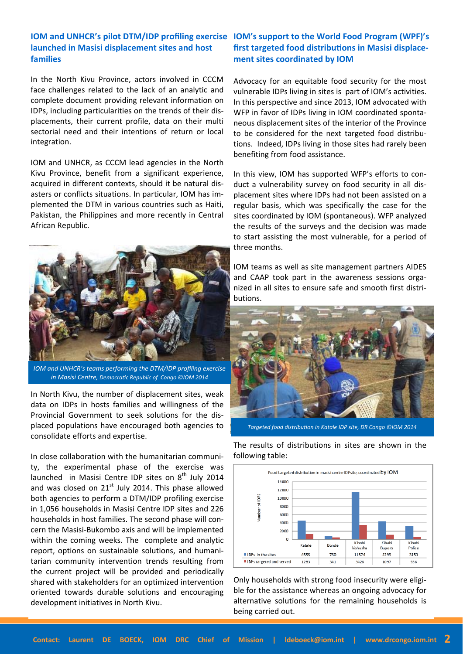# **launched in Masisi displacement sites and host families**

In the North Kivu Province, actors involved in CCCM face challenges related to the lack of an analytic and complete document providing relevant information on IDPs, including particularities on the trends of their dis‐ placements, their current profile, data on their multi sectorial need and their intentions of return or local integration.

IOM and UNHCR, as CCCM lead agencies in the North Kivu Province, benefit from a significant experience, acquired in different contexts, should it be natural dis‐ asters or conflicts situations. In particular, IOM has im‐ plemented the DTM in various countries such as Haiti, Pakistan, the Philippines and more recently in Central African Republic.



*IOM and UNHCR's teams performing the DTM/IDP profiling exercise in Masisi Centre, DemocraƟc Republic of Congo ©IOM 2014* 

In North Kivu, the number of displacement sites, weak data on IDPs in hosts families and willingness of the Provincial Government to seek solutions for the dis‐ placed populations have encouraged both agencies to consolidate efforts and expertise.

In close collaboration with the humanitarian communi‐ ty, the experimental phase of the exercise was launched in Masisi Centre IDP sites on  $8<sup>th</sup>$  July 2014 and was closed on  $21<sup>st</sup>$  July 2014. This phase allowed both agencies to perform a DTM/IDP profiling exercise in 1,056 households in Masisi Centre IDP sites and 226 households in host families. The second phase will con‐ cern the Masisi‐Bukombo axis and will be implemented within the coming weeks. The complete and analytic report, options on sustainable solutions, and humani‐ tarian community intervention trends resulting from the current project will be provided and periodically shared with stakeholders for an optimized intervention oriented towards durable solutions and encouraging development initiatives in North Kivu.

## **IOM and UNHCR's pilot DTM/IDP profiling exercise IOM's support to the World Food Program (WPF)'s first targeted food distribuƟons in Masisi displacement sites coordinated by IOM**

Advocacy for an equitable food security for the most vulnerable IDPs living in sites is part of IOM's activities. In this perspective and since 2013, IOM advocated with WFP in favor of IDPs living in IOM coordinated spontaneous displacement sites of the interior of the Province to be considered for the next targeted food distribu‐ tions. Indeed, IDPs living in those sites had rarely been benefiting from food assistance.

In this view, IOM has supported WFP's efforts to con‐ duct a vulnerability survey on food security in all dis‐ placement sites where IDPs had not been assisted on a regular basis, which was specifically the case for the sites coordinated by IOM (spontaneous). WFP analyzed the results of the surveys and the decision was made to start assisting the most vulnerable, for a period of three months.

IOM teams as well as site management partners AIDES and CAAP took part in the awareness sessions organized in all sites to ensure safe and smooth first distri‐ butions.



*Targeted food distribuƟon in Katale IDP site, DR Congo ©IOM 2014* 

Food targeted distribution in masis i centre IDPsite, coordinated by IOM 14000 12000 10000 8000 6000 4000 2000 O Kihah Kihahi Kihah Katale Bonde kishusha Buporo Police IDPs in the sites 4555 760 11574 42.99 3150 556 IDPs targeted and served 341 1283 3426 1097

Only households with strong food insecurity were eligi‐ ble for the assistance whereas an ongoing advocacy for alternative solutions for the remaining households is being carried out.

The results of distributions in sites are shown in the following table: